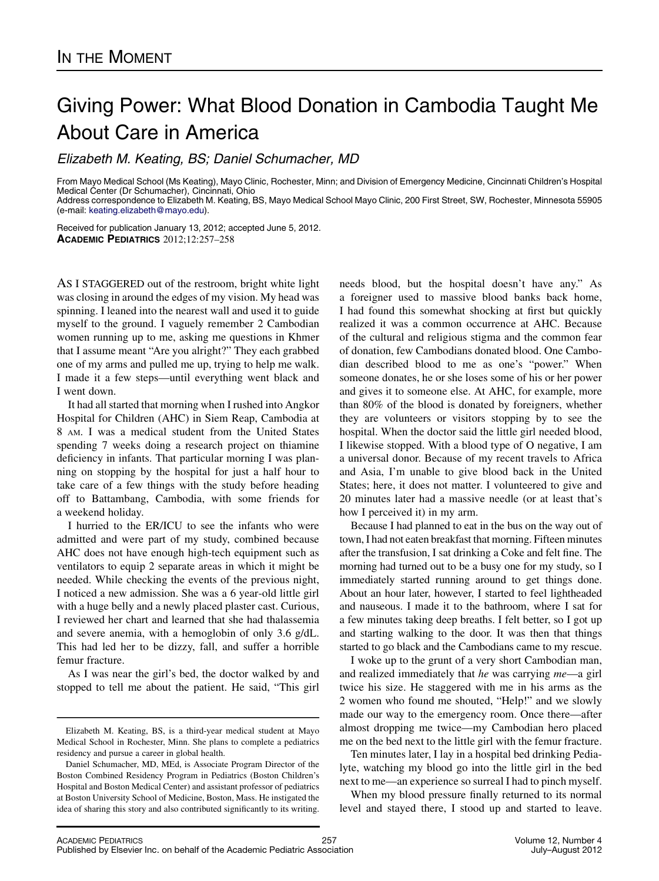## Giving Power: What Blood Donation in Cambodia Taught Me About Care in America

 $\sum_{i=1}^N$ 

From Mayo Medical School (Ms Keating), Mayo Clinic, Rochester, Minn; and Division of Emergency Medicine, Cincinnati Children's Hospital Medical Center (Dr Schumacher), Cincinnati, Ohio Address correspondence to Elizabeth M. Keating, BS, Mayo Medical School Mayo Clinic, 200 First Street, SW, Rochester, Minnesota 55905

(e-mail: [keating.elizabeth@mayo.edu](mailto:keating.elizabeth@mayo.edu)).

Received for publication January 13, 2012; accepted June 5, 2012. ACADEMIC PEDIATRICS 2012;12:257–258

AS I STAGGERED out of the restroom, bright white light was closing in around the edges of my vision. My head was spinning. I leaned into the nearest wall and used it to guide myself to the ground. I vaguely remember 2 Cambodian women running up to me, asking me questions in Khmer that I assume meant "Are you alright?" They each grabbed one of my arms and pulled me up, trying to help me walk. I made it a few steps—until everything went black and I went down.

It had all started that morning when I rushed into Angkor Hospital for Children (AHC) in Siem Reap, Cambodia at 8 AM. I was a medical student from the United States spending 7 weeks doing a research project on thiamine deficiency in infants. That particular morning I was planning on stopping by the hospital for just a half hour to take care of a few things with the study before heading off to Battambang, Cambodia, with some friends for a weekend holiday.

I hurried to the ER/ICU to see the infants who were admitted and were part of my study, combined because AHC does not have enough high-tech equipment such as ventilators to equip 2 separate areas in which it might be needed. While checking the events of the previous night, I noticed a new admission. She was a 6 year-old little girl with a huge belly and a newly placed plaster cast. Curious, I reviewed her chart and learned that she had thalassemia and severe anemia, with a hemoglobin of only 3.6 g/dL. This had led her to be dizzy, fall, and suffer a horrible femur fracture.

As I was near the girl's bed, the doctor walked by and stopped to tell me about the patient. He said, "This girl

needs blood, but the hospital doesn't have any." As a foreigner used to massive blood banks back home, I had found this somewhat shocking at first but quickly realized it was a common occurrence at AHC. Because of the cultural and religious stigma and the common fear of donation, few Cambodians donated blood. One Cambodian described blood to me as one's "power." When someone donates, he or she loses some of his or her power and gives it to someone else. At AHC, for example, more than 80% of the blood is donated by foreigners, whether they are volunteers or visitors stopping by to see the hospital. When the doctor said the little girl needed blood, I likewise stopped. With a blood type of O negative, I am a universal donor. Because of my recent travels to Africa and Asia, I'm unable to give blood back in the United States; here, it does not matter. I volunteered to give and 20 minutes later had a massive needle (or at least that's how I perceived it) in my arm.

Because I had planned to eat in the bus on the way out of town, I had not eaten breakfast that morning. Fifteen minutes after the transfusion, I sat drinking a Coke and felt fine. The morning had turned out to be a busy one for my study, so I immediately started running around to get things done. About an hour later, however, I started to feel lightheaded and nauseous. I made it to the bathroom, where I sat for a few minutes taking deep breaths. I felt better, so I got up and starting walking to the door. It was then that things started to go black and the Cambodians came to my rescue.

I woke up to the grunt of a very short Cambodian man, and realized immediately that he was carrying me—a girl twice his size. He staggered with me in his arms as the 2 women who found me shouted, "Help!" and we slowly made our way to the emergency room. Once there—after almost dropping me twice—my Cambodian hero placed me on the bed next to the little girl with the femur fracture.

Ten minutes later, I lay in a hospital bed drinking Pedialyte, watching my blood go into the little girl in the bed next to me—an experience so surreal I had to pinch myself.

When my blood pressure finally returned to its normal level and stayed there, I stood up and started to leave.

Elizabeth M. Keating, BS, is a third-year medical student at Mayo Medical School in Rochester, Minn. She plans to complete a pediatrics residency and pursue a career in global health.

Daniel Schumacher, MD, MEd, is Associate Program Director of the Boston Combined Residency Program in Pediatrics (Boston Children's Hospital and Boston Medical Center) and assistant professor of pediatrics at Boston University School of Medicine, Boston, Mass. He instigated the idea of sharing this story and also contributed significantly to its writing.